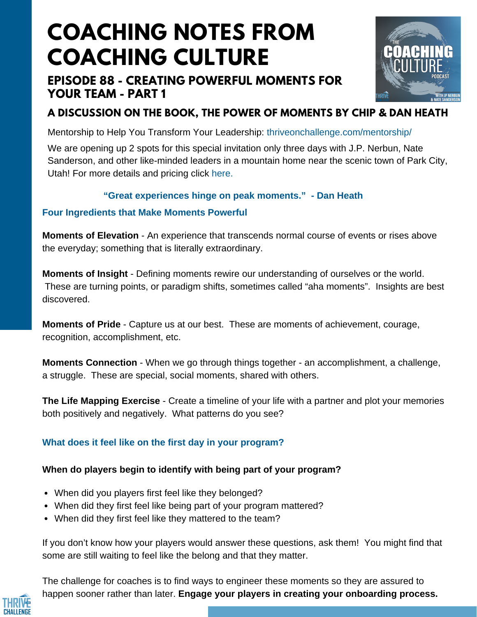# **COACHING NOTES FROM COACHING CULTURE**

## **EPISODE 88 - CREATING POWERFUL MOMENTS FOR YOUR TEAM - PART 1**



# **A DISCUSSION ON THE BOOK, THE POWER OF MOMENTS BY CHIP & DAN HEATH**

Mentorship to Help You Transform Your Leadership: [thriveonchallenge.com/mentorship/](https://thriveonchallenge.com/mentorship/)

We are opening up 2 spots for this special invitation only three days with J.P. Nerbun, Nate Sanderson, and other like-minded leaders in a mountain home near the scenic town of Park City, Utah! For more details and pricing click here.

### **"Great experiences hinge on peak moments." - Dan Heath**

### **Four Ingredients that Make Moments Powerful**

**Moments of Elevation** - An experience that transcends normal course of events or rises above the everyday; something that is literally extraordinary.

**Moments of Insight** - Defining moments rewire our understanding of ourselves or the world. These are turning points, or paradigm shifts, sometimes called "aha moments". Insights are best discovered.

**Moments of Pride** - Capture us at our best. These are moments of achievement, courage, recognition, accomplishment, etc.

**Moments Connection** - When we go through things together - an accomplishment, a challenge, a struggle. These are special, social moments, shared with others.

**The Life Mapping Exercise** - Create a timeline of your life with a partner and plot your memories both positively and negatively. What patterns do you see?

## **What does it feel like on the first day in your program?**

## **When do players begin to identify with being part of your program?**

- When did you players first feel like they belonged?
- When did they first feel like being part of your program mattered?
- When did they first feel like they mattered to the team?

If you don't know how your players would answer these questions, ask them! You might find that some are still waiting to feel like the belong and that they matter.

The challenge for coaches is to find ways to engineer these moments so they are assured to happen sooner rather than later. **Engage your players in creating your onboarding process.**

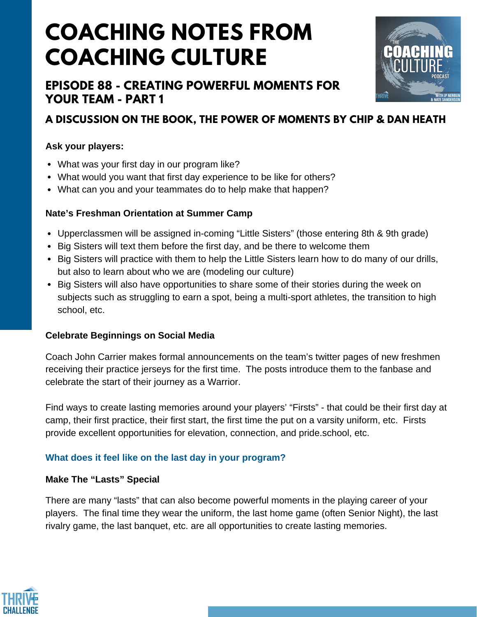# **COACHING NOTES FROM COACHING CULTURE**

## **EPISODE 88 - CREATING POWERFUL MOMENTS FOR YOUR TEAM - PART 1**



## **A DISCUSSION ON THE BOOK, THE POWER OF MOMENTS BY CHIP & DAN HEATH**

#### **Ask your players:**

- What was your first day in our program like?
- What would you want that first day experience to be like for others?
- What can you and your teammates do to help make that happen?

#### **Nate's Freshman Orientation at Summer Camp**

- Upperclassmen will be assigned in-coming "Little Sisters" (those entering 8th & 9th grade)
- Big Sisters will text them before the first day, and be there to welcome them
- Big Sisters will practice with them to help the Little Sisters learn how to do many of our drills, but also to learn about who we are (modeling our culture)
- Big Sisters will also have opportunities to share some of their stories during the week on subjects such as struggling to earn a spot, being a multi-sport athletes, the transition to high school, etc.

#### **Celebrate Beginnings on Social Media**

Coach John Carrier makes formal announcements on the team's twitter pages of new freshmen receiving their practice jerseys for the first time. The posts introduce them to the fanbase and celebrate the start of their journey as a Warrior.

Find ways to create lasting memories around your players' "Firsts" - that could be their first day at camp, their first practice, their first start, the first time the put on a varsity uniform, etc. Firsts provide excellent opportunities for elevation, connection, and pride.school, etc.

### **What does it feel like on the last day in your program?**

#### **Make The "Lasts" Special**

There are many "lasts" that can also become powerful moments in the playing career of your players. The final time they wear the uniform, the last home game (often Senior Night), the last rivalry game, the last banquet, etc. are all opportunities to create lasting memories.